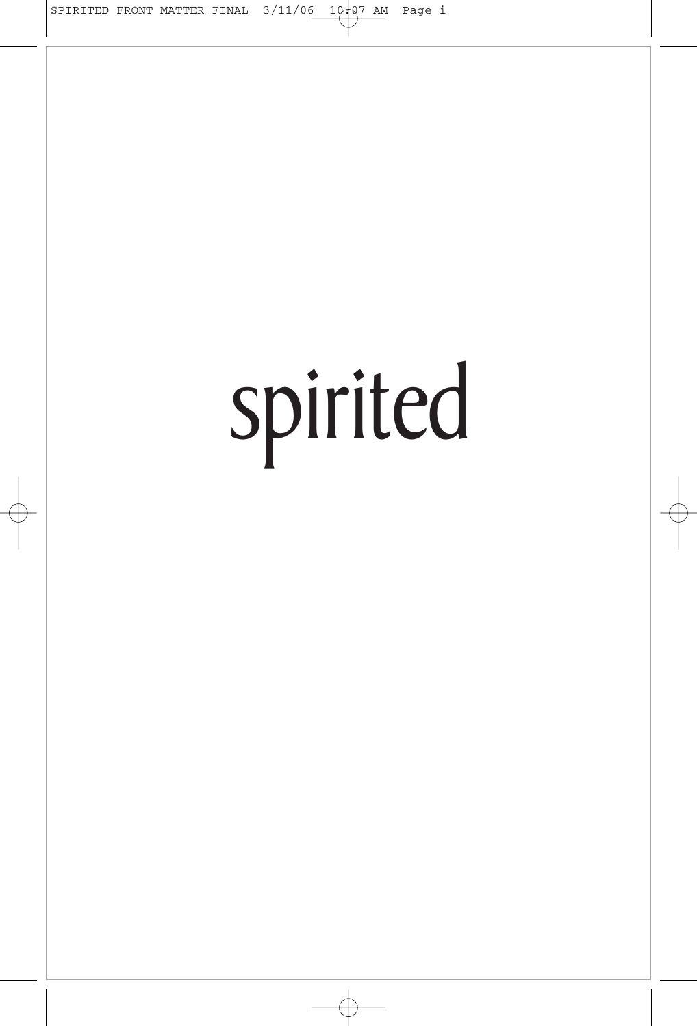# spirited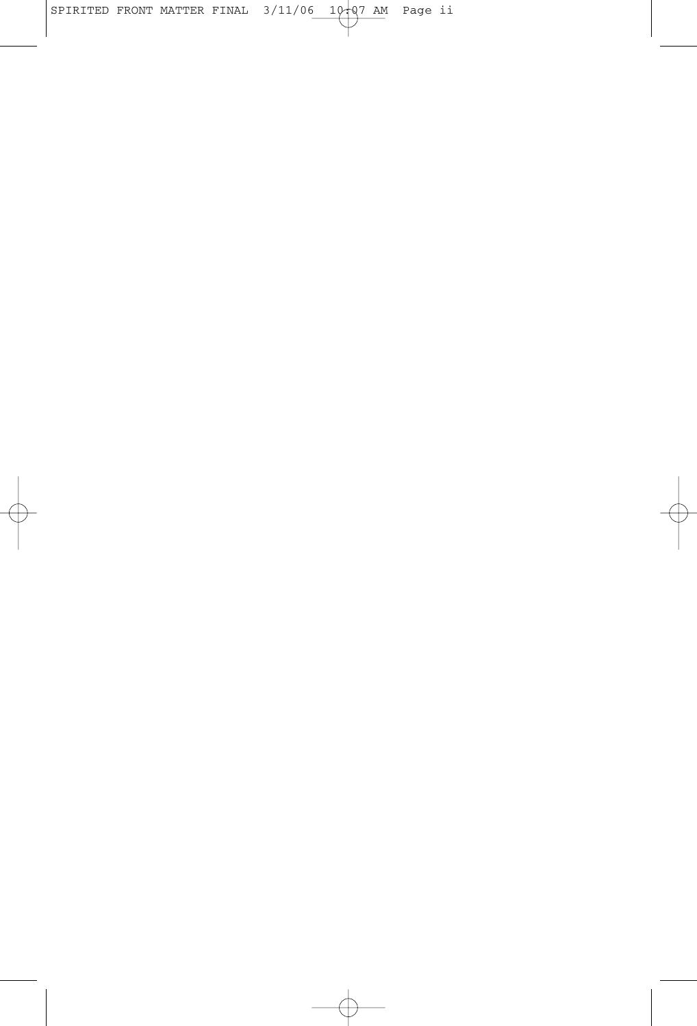SPIRITED FRONT MATTER FINAL 3/11/06 10-07 AM Page ii

 $\phi$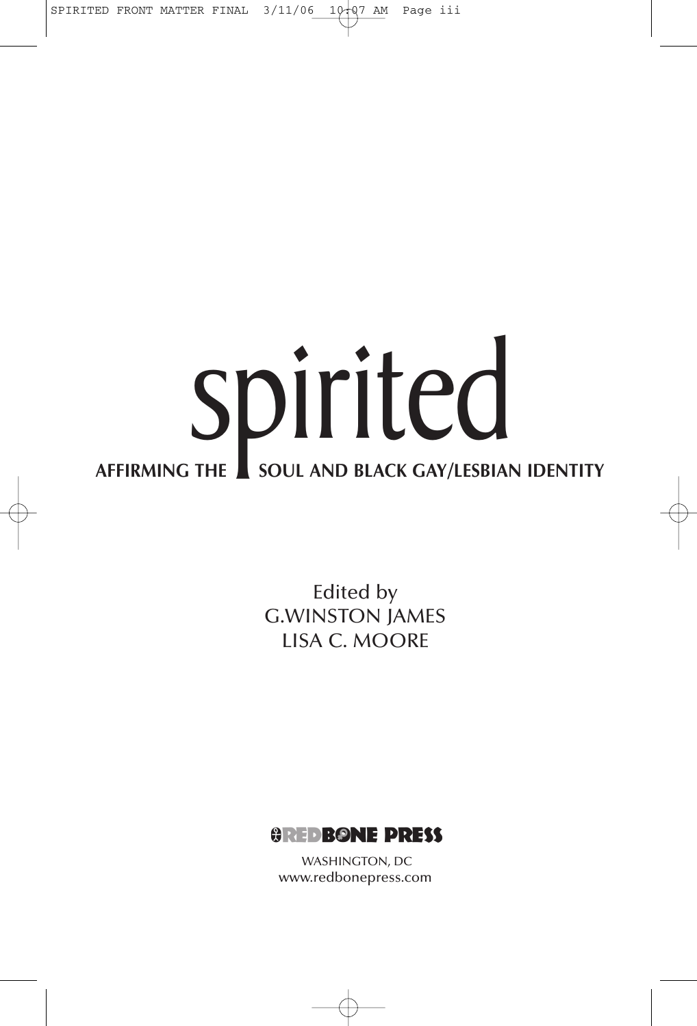SPIRITED FRONT MATTER FINAL  $3/11/06$  10 $\sqrt{9}$  AM Page iii

# AFFIRMING THE SOUL AND BLACK GAY/LESBIAN IDENTITY

Edited by G.WINSTON JAMES LISA C. MOORE

# **OREDBONE PRESS**

WASHINGTON, DC www.redbonepress.com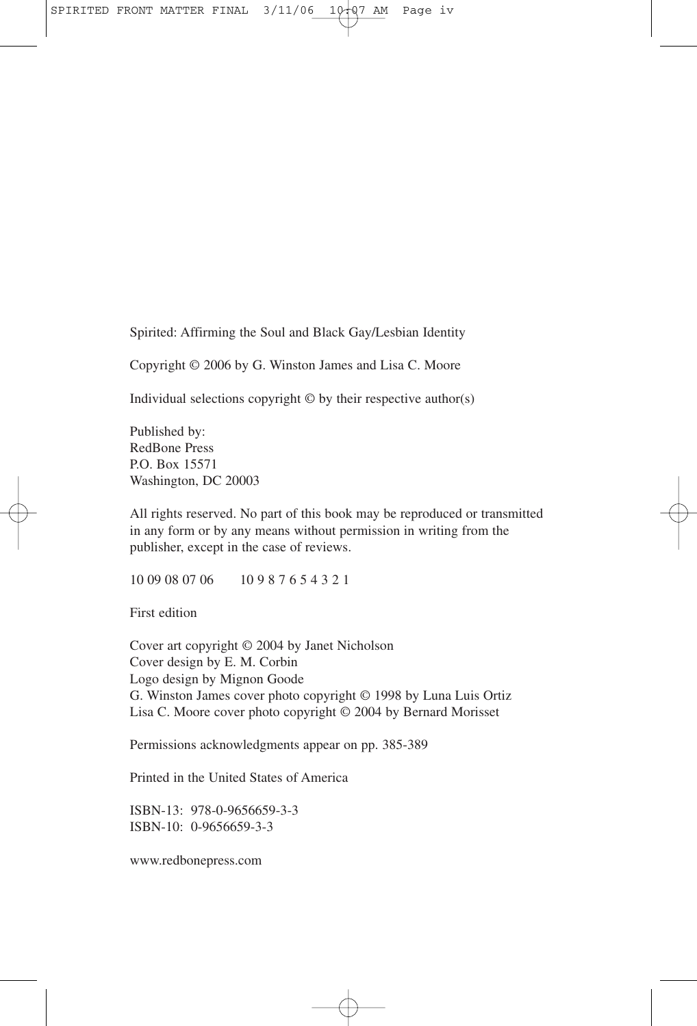Spirited: Affirming the Soul and Black Gay/Lesbian Identity

Copyright © 2006 by G. Winston James and Lisa C. Moore

Individual selections copyright © by their respective author(s)

Published by: RedBone Press P.O. Box 15571 Washington, DC 20003

All rights reserved. No part of this book may be reproduced or transmitted in any form or by any means without permission in writing from the publisher, except in the case of reviews.

10 09 08 07 06 10 9 8 7 6 5 4 3 2 1

First edition

Cover art copyright © 2004 by Janet Nicholson Cover design by E. M. Corbin Logo design by Mignon Goode G. Winston James cover photo copyright © 1998 by Luna Luis Ortiz Lisa C. Moore cover photo copyright © 2004 by Bernard Morisset

Permissions acknowledgments appear on pp. 385-389

Printed in the United States of America

ISBN-13: 978-0-9656659-3-3 ISBN-10: 0-9656659-3-3

www.redbonepress.com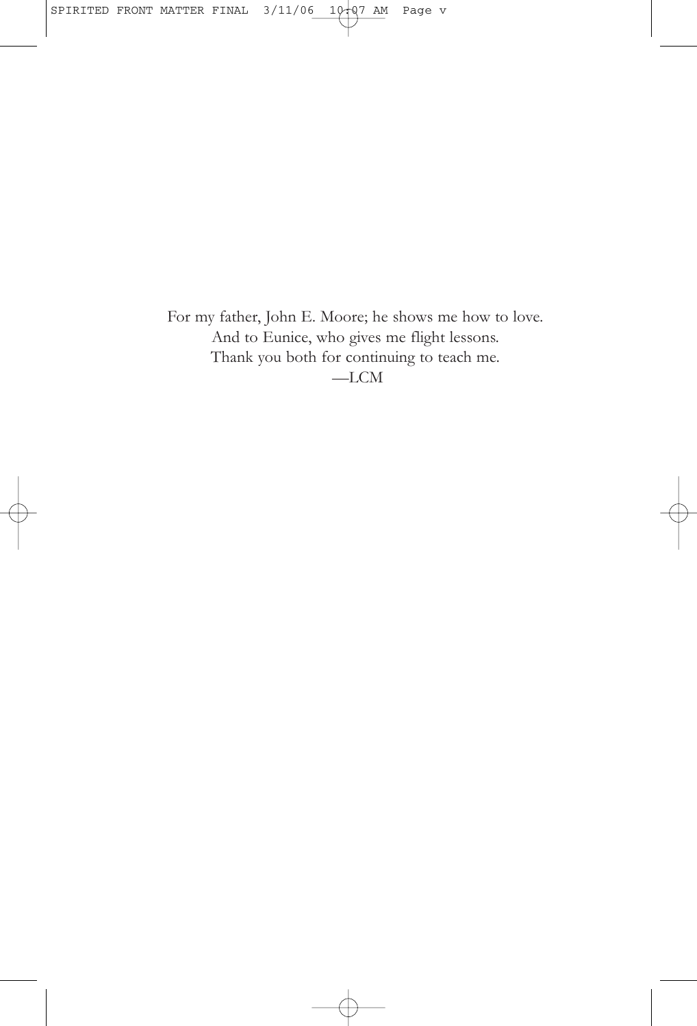For my father, John E. Moore; he shows me how to love. And to Eunice, who gives me flight lessons. Thank you both for continuing to teach me. —LCM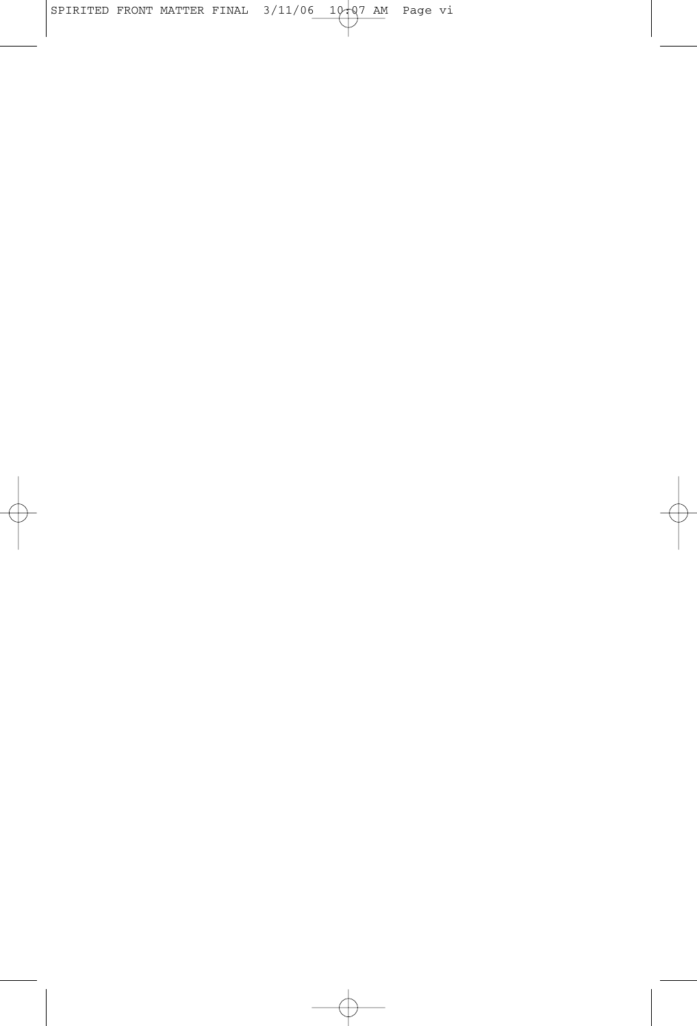SPIRITED FRONT MATTER FINAL 3/11/06 10-07 AM Page vi

 $\phi$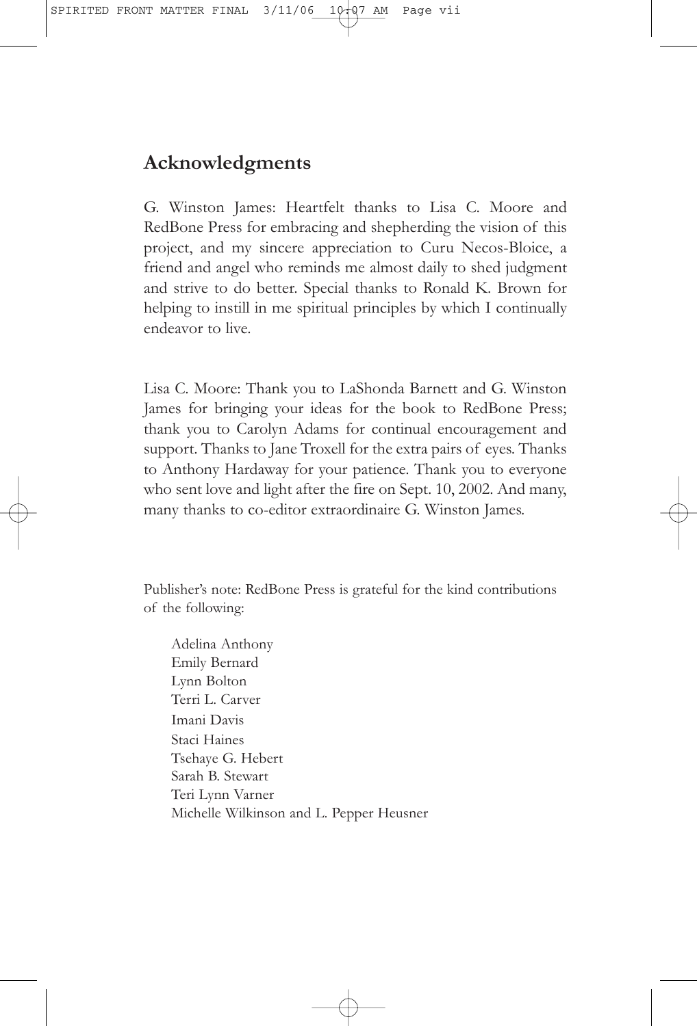SPIRITED FRONT MATTER FINAL 3/11/06 10+Q7 AM Page vii

### **Acknowledgments**

G. Winston James: Heartfelt thanks to Lisa C. Moore and RedBone Press for embracing and shepherding the vision of this project, and my sincere appreciation to Curu Necos-Bloice, a friend and angel who reminds me almost daily to shed judgment and strive to do better. Special thanks to Ronald K. Brown for helping to instill in me spiritual principles by which I continually endeavor to live.

Lisa C. Moore: Thank you to LaShonda Barnett and G. Winston James for bringing your ideas for the book to RedBone Press; thank you to Carolyn Adams for continual encouragement and support. Thanks to Jane Troxell for the extra pairs of eyes. Thanks to Anthony Hardaway for your patience. Thank you to everyone who sent love and light after the fire on Sept. 10, 2002. And many, many thanks to co-editor extraordinaire G. Winston James.

Publisher's note: RedBone Press is grateful for the kind contributions of the following:

Adelina Anthony Emily Bernard Lynn Bolton Terri L. Carver Imani Davis Staci Haines Tsehaye G. Hebert Sarah B. Stewart Teri Lynn Varner Michelle Wilkinson and L. Pepper Heusner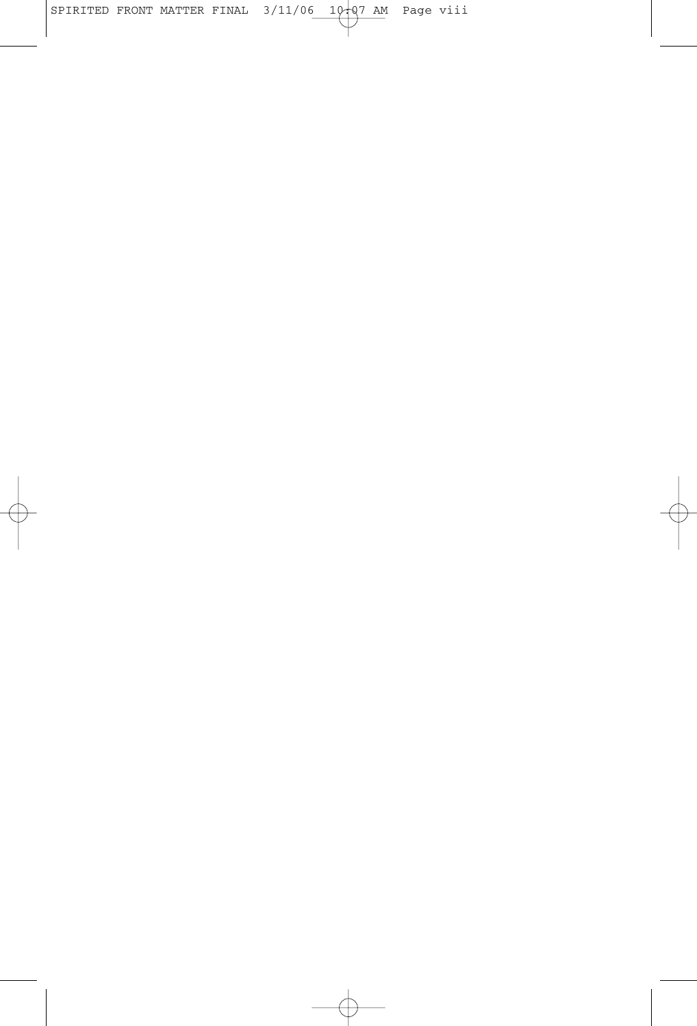SPIRITED FRONT MATTER FINAL 3/11/06 10:07 AM Page viii

 $\phi$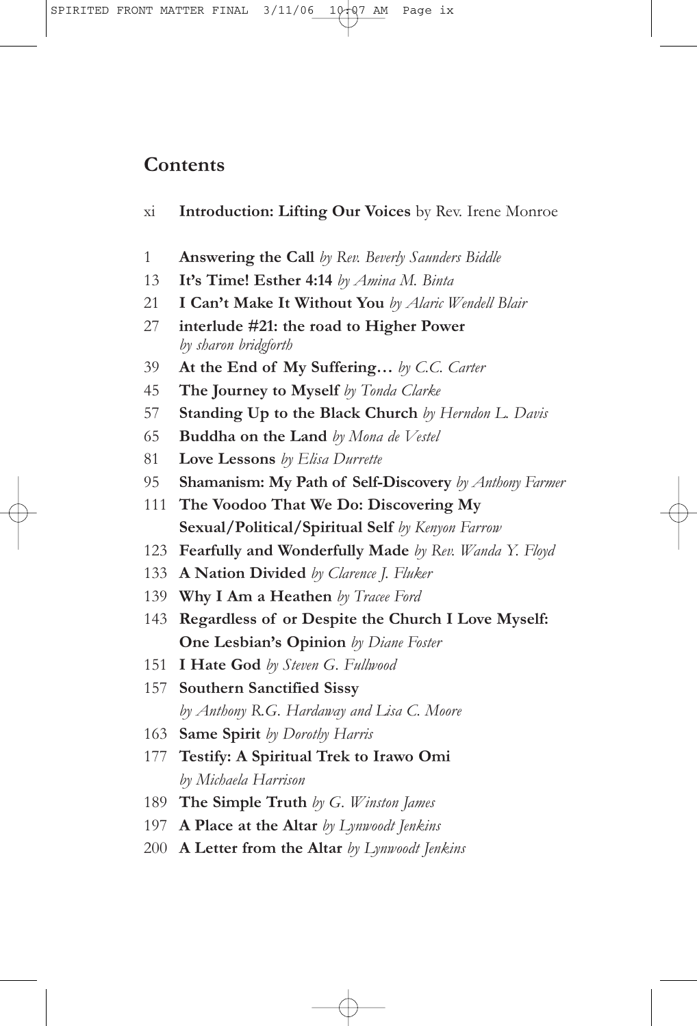SPIRITED FRONT MATTER FINAL  $3/11/06$  10 $\pm$ 07 AM Page ix

## **Contents**

|  | xi Introduction: Lifting Our Voices by Rev. Irene Monroe |  |  |  |  |  |  |  |
|--|----------------------------------------------------------|--|--|--|--|--|--|--|
|--|----------------------------------------------------------|--|--|--|--|--|--|--|

- **Answering the Call** *by Rev. Beverly Saunders Biddle*
- **It's Time! Esther 4:14** *by Amina M. Binta*
- **I Can't Make It Without You** *by Alaric Wendell Blair*
- **interlude #21: the road to Higher Power** *by sharon bridgforth*
- **At the End of My Suffering…** *by C.C. Carter*
- **The Journey to Myself** *by Tonda Clarke*
- **Standing Up to the Black Church** *by Herndon L. Davis*
- **Buddha on the Land** *by Mona de Vestel*
- **Love Lessons** *by Elisa Durrette*
- **Shamanism: My Path of Self-Discovery** *by Anthony Farmer*
- **The Voodoo That We Do: Discovering My Sexual/Political/Spiritual Self** *by Kenyon Farrow*
- **Fearfully and Wonderfully Made** *by Rev. Wanda Y. Floyd*
- **A Nation Divided** *by Clarence J. Fluker*
- **Why I Am a Heathen** *by Tracee Ford*
- **Regardless of or Despite the Church I Love Myself: One Lesbian's Opinion** *by Diane Foster*
- **I Hate God** *by Steven G. Fullwood*
- **Southern Sanctified Sissy** *by Anthony R.G. Hardaway and Lisa C. Moore*
- **Same Spirit** *by Dorothy Harris*
- **Testify: A Spiritual Trek to Irawo Omi** *by Michaela Harrison*
- **The Simple Truth** *by G. Winston James*
- **A Place at the Altar** *by Lynwoodt Jenkins*
- **A Letter from the Altar** *by Lynwoodt Jenkins*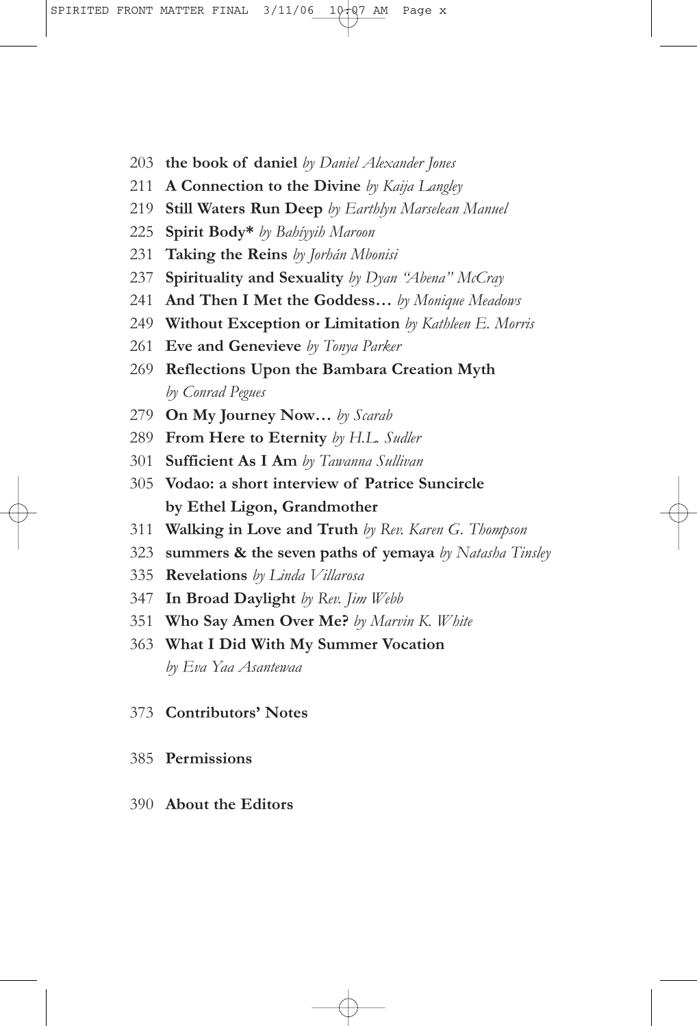- **the book of daniel** *by Daniel Alexander Jones*
- **A Connection to the Divine** *by Kaija Langley*
- **Still Waters Run Deep** *by Earthlyn Marselean Manuel*
- **Spirit Body\*** *by Bahíyyih Maroon*
- **Taking the Reins** *by Jorhán Mbonisi*
- **Spirituality and Sexuality** *by Dyan "Abena" McCray*
- **And Then I Met the Goddess…** *by Monique Meadows*
- **Without Exception or Limitation** *by Kathleen E. Morris*
- **Eve and Genevieve** *by Tonya Parker*
- **Reflections Upon the Bambara Creation Myth** *by Conrad Pegues*
- **On My Journey Now…** *by Scarab*
- **From Here to Eternity** *by H.L. Sudler*
- **Sufficient As I Am** *by Tawanna Sullivan*
- **Vodao: a short interview of Patrice Suncircle by Ethel Ligon, Grandmother**
- **Walking in Love and Truth** *by Rev. Karen G. Thompson*
- **summers & the seven paths of yemaya** *by Natasha Tinsley*
- **Revelations** *by Linda Villarosa*
- **In Broad Daylight** *by Rev. Jim Webb*
- **Who Say Amen Over Me?** *by Marvin K. White*
- **What I Did With My Summer Vocation** *by Eva Yaa Asantewaa*
- **Contributors' Notes**
- **Permissions**
- **About the Editors**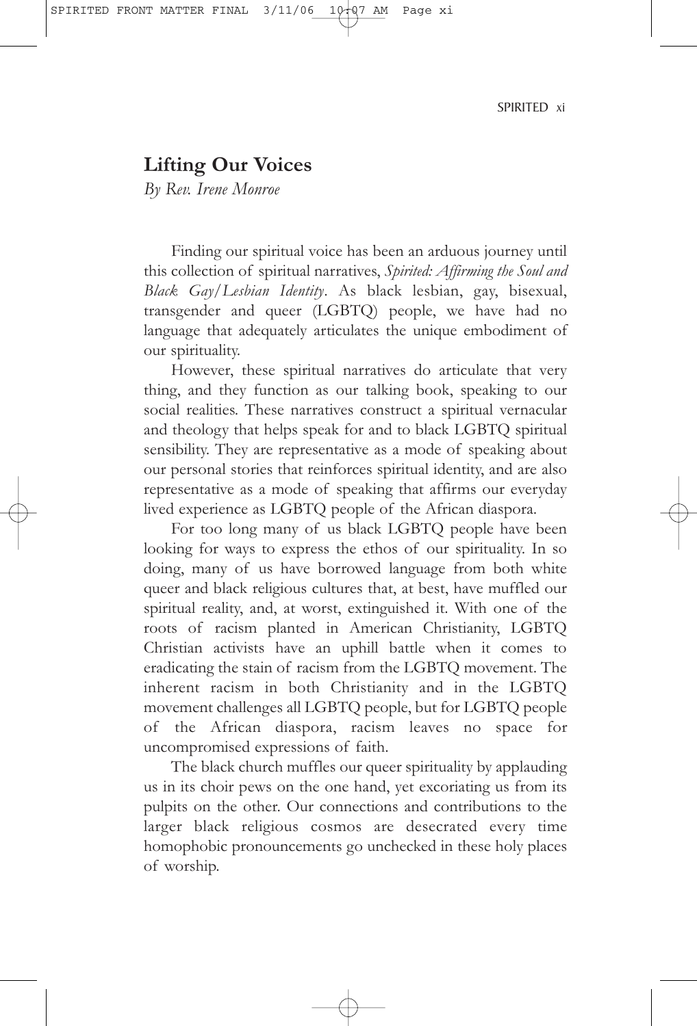SPIRITED xi

### SPIRITED FRONT MATTER FINAL  $3/11/06$  10 $\pm$ 07 AM Page xi

# **Lifting Our Voices**

*By Rev. Irene Monroe*

Finding our spiritual voice has been an arduous journey until this collection of spiritual narratives, *Spirited: Affirming the Soul and Black Gay/Lesbian Identity*. As black lesbian, gay, bisexual, transgender and queer (LGBTQ) people, we have had no language that adequately articulates the unique embodiment of our spirituality.

However, these spiritual narratives do articulate that very thing, and they function as our talking book, speaking to our social realities. These narratives construct a spiritual vernacular and theology that helps speak for and to black LGBTQ spiritual sensibility. They are representative as a mode of speaking about our personal stories that reinforces spiritual identity, and are also representative as a mode of speaking that affirms our everyday lived experience as LGBTQ people of the African diaspora.

For too long many of us black LGBTQ people have been looking for ways to express the ethos of our spirituality. In so doing, many of us have borrowed language from both white queer and black religious cultures that, at best, have muffled our spiritual reality, and, at worst, extinguished it. With one of the roots of racism planted in American Christianity, LGBTQ Christian activists have an uphill battle when it comes to eradicating the stain of racism from the LGBTQ movement. The inherent racism in both Christianity and in the LGBTQ movement challenges all LGBTQ people, but for LGBTQ people of the African diaspora, racism leaves no space for uncompromised expressions of faith.

The black church muffles our queer spirituality by applauding us in its choir pews on the one hand, yet excoriating us from its pulpits on the other. Our connections and contributions to the larger black religious cosmos are desecrated every time homophobic pronouncements go unchecked in these holy places of worship.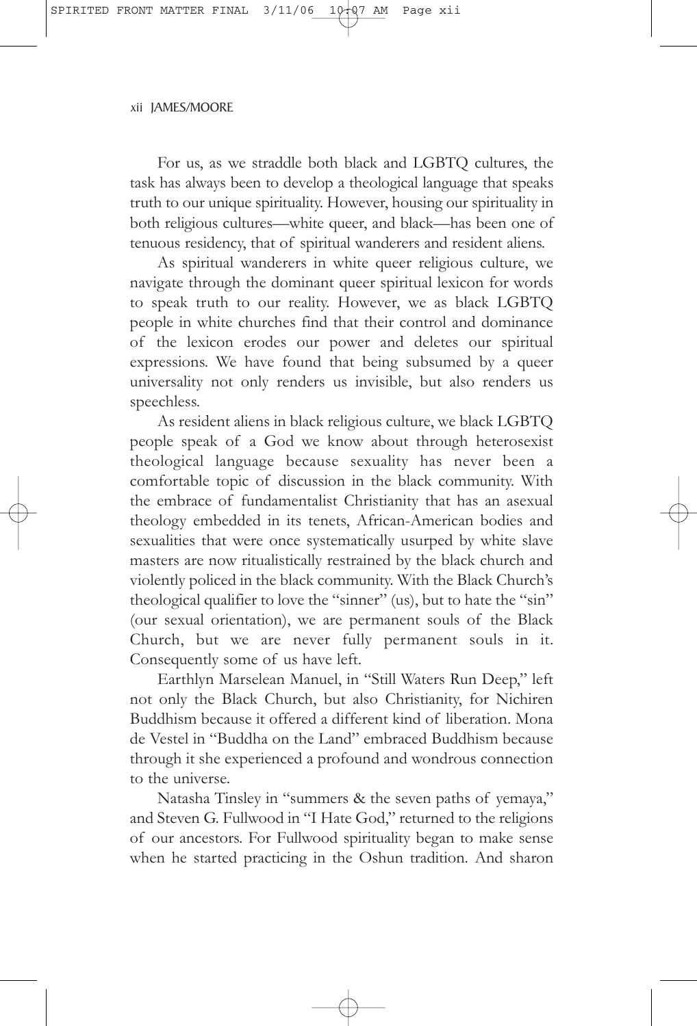### xii JAMES/MOORE

For us, as we straddle both black and LGBTQ cultures, the task has always been to develop a theological language that speaks truth to our unique spirituality. However, housing our spirituality in both religious cultures—white queer, and black—has been one of tenuous residency, that of spiritual wanderers and resident aliens.

As spiritual wanderers in white queer religious culture, we navigate through the dominant queer spiritual lexicon for words to speak truth to our reality. However, we as black LGBTQ people in white churches find that their control and dominance of the lexicon erodes our power and deletes our spiritual expressions. We have found that being subsumed by a queer universality not only renders us invisible, but also renders us speechless.

As resident aliens in black religious culture, we black LGBTQ people speak of a God we know about through heterosexist theological language because sexuality has never been a comfortable topic of discussion in the black community. With the embrace of fundamentalist Christianity that has an asexual theology embedded in its tenets, African-American bodies and sexualities that were once systematically usurped by white slave masters are now ritualistically restrained by the black church and violently policed in the black community. With the Black Church's theological qualifier to love the "sinner" (us), but to hate the "sin" (our sexual orientation), we are permanent souls of the Black Church, but we are never fully permanent souls in it. Consequently some of us have left.

Earthlyn Marselean Manuel, in "Still Waters Run Deep," left not only the Black Church, but also Christianity, for Nichiren Buddhism because it offered a different kind of liberation. Mona de Vestel in "Buddha on the Land" embraced Buddhism because through it she experienced a profound and wondrous connection to the universe.

Natasha Tinsley in "summers & the seven paths of yemaya," and Steven G. Fullwood in "I Hate God," returned to the religions of our ancestors. For Fullwood spirituality began to make sense when he started practicing in the Oshun tradition. And sharon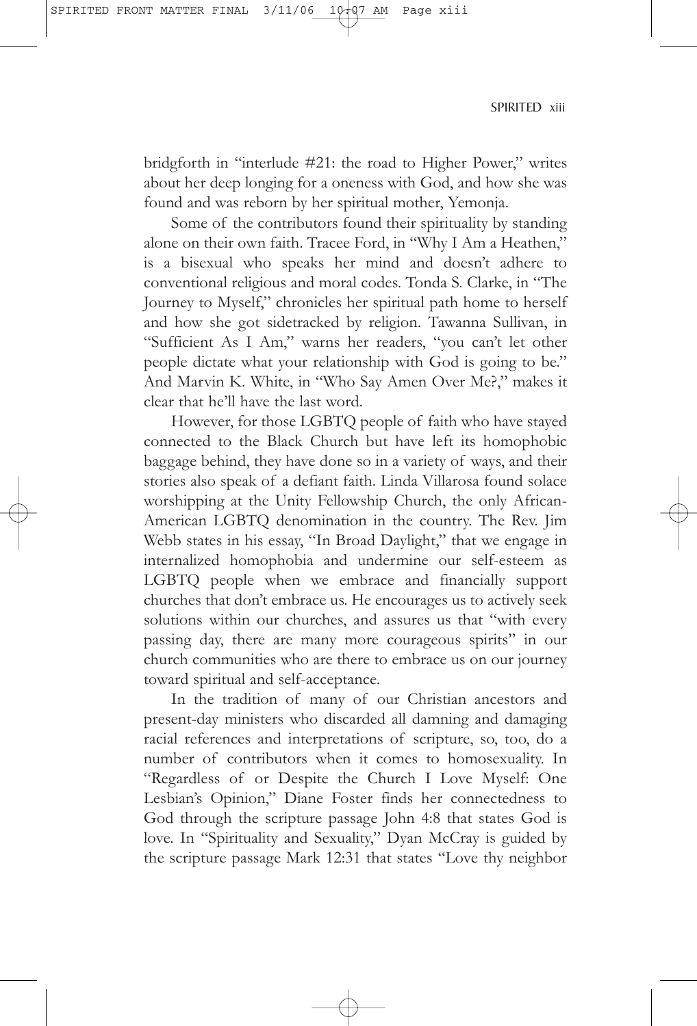SPIRITED xiii

bridgforth in "interlude #21: the road to Higher Power," writes about her deep longing for a oneness with God, and how she was found and was reborn by her spiritual mother, Yemonja.

Some of the contributors found their spirituality by standing alone on their own faith. Tracee Ford, in "Why I Am a Heathen," is a bisexual who speaks her mind and doesn't adhere to conventional religious and moral codes. Tonda S. Clarke, in "The Journey to Myself," chronicles her spiritual path home to herself and how she got sidetracked by religion. Tawanna Sullivan, in "Sufficient As I Am," warns her readers, "you can't let other people dictate what your relationship with God is going to be." And Marvin K. White, in "Who Say Amen Over Me?," makes it clear that he'll have the last word.

However, for those LGBTQ people of faith who have stayed connected to the Black Church but have left its homophobic baggage behind, they have done so in a variety of ways, and their stories also speak of a defiant faith. Linda Villarosa found solace worshipping at the Unity Fellowship Church, the only African-American LGBTQ denomination in the country. The Rev. Jim Webb states in his essay, "In Broad Daylight," that we engage in internalized homophobia and undermine our self-esteem as LGBTQ people when we embrace and financially support churches that don't embrace us. He encourages us to actively seek solutions within our churches, and assures us that "with every passing day, there are many more courageous spirits" in our church communities who are there to embrace us on our journey toward spiritual and self-acceptance.

In the tradition of many of our Christian ancestors and present-day ministers who discarded all damning and damaging racial references and interpretations of scripture, so, too, do a number of contributors when it comes to homosexuality. In "Regardless of or Despite the Church I Love Myself: One Lesbian's Opinion," Diane Foster finds her connectedness to God through the scripture passage John 4:8 that states God is love. In "Spirituality and Sexuality," Dyan McCray is guided by the scripture passage Mark 12:31 that states "Love thy neighbor